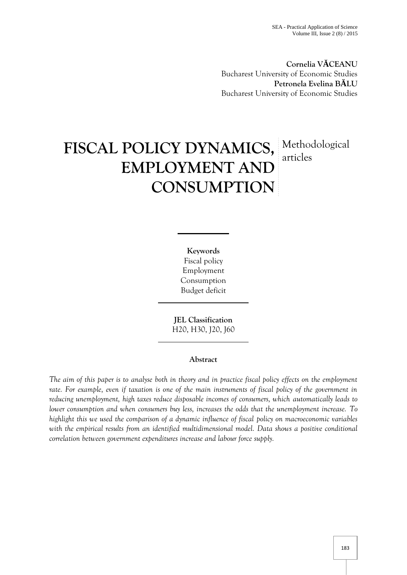**Cornelia V CEANU** Bucharest University of Economic Studies **Petronela Evelina B LU** Bucharest University of Economic Studies

# **FISCAL POLICY DYNAMICS,** Methodological **EMPLOYMENT AND CONSUMPTION** articles

**Keywords** Fiscal policy Employment Consumption Budget deficit

**JEL Classification** H20, H30, J20, J60

## **Abstract**

*The aim of this paper is to analyse both in theory and in practice fiscal policy effects on the employment rate. For example, even if taxation is one of the main instruments of fiscal policy of the government in reducing unemployment, high taxes reduce disposable incomes of consumers, which automatically leads to lower consumption and when consumers buy less, increases the odds that the unemployment increase. To highlight this we used the comparison of a dynamic influence of fiscal policy on macroeconomic variables with the empirical results from an identified multidimensional model. Data shows a positive conditional correlation between government expenditures increase and labour force supply.*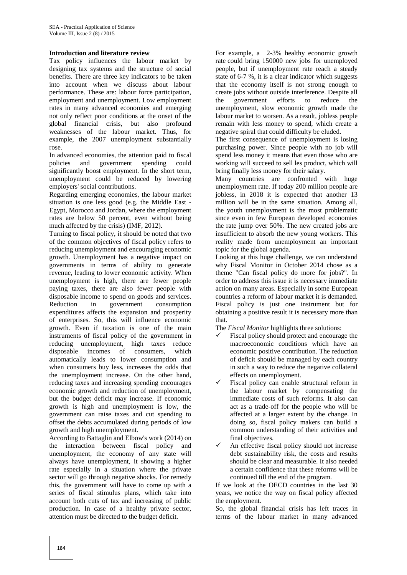#### **Introduction and literature review**

Tax policy influences the labour market by designing tax systems and the structure of social benefits. There are three key indicators to be taken into account when we discuss about labour performance. These are: labour force participation, employment and unemployment. Low employment rates in many advanced economies and emerging not only reflect poor conditions at the onset of the global financial crisis, but also profound weaknesses of the labour market. Thus, for example, the 2007 unemployment substantially rose.

In advanced economies, the attention paid to fiscal<br>policies and government spending could policies and government spending could significantly boost employment. In the short term, unemployment could be reduced by lowering employers' social contributions.

Regarding emerging economies, the labour market situation is one less good (e.g. the Middle East - Egypt, Morocco and Jordan, where the employment rates are below 50 percent, even without being much affected by the crisis) (IMF, 2012).

Turning to fiscal policy, it should be noted that two of the common objectives of fiscal policy refers to reducing unemployment and encouraging economic growth. Unemployment has a negative impact on governments in terms of ability to generate revenue, leading to lower economic activity. When unemployment is high, there are fewer people paying taxes, there are also fewer people with disposable income to spend on goods and services. Reduction in government consumption expenditures affects the expansion and prosperity of enterprises. So, this will influence economic growth. Even if taxation is one of the main instruments of fiscal policy of the government in reducing unemployment, high taxes reduce disposable incomes of consumers, which automatically leads to lower consumption and when consumers buy less, increases the odds that the unemployment increase. On the other hand, reducing taxes and increasing spending encourages economic growth and reduction of unemployment, but the budget deficit may increase. If economic growth is high and unemployment is low, the government can raise taxes and cut spending to offset the debts accumulated during periods of low growth and high unemployment.

According to Battaglin and Elbow's work (2014) on the interaction between fiscal policy and unemployment, the economy of any state will always have unemployment, it showing a higher rate especially in a situation where the private sector will go through negative shocks. For remedy this, the government will have to come up with a series of fiscal stimulus plans, which take into account both cuts of tax and increasing of public production. In case of a healthy private sector, attention must be directed to the budget deficit.

For example, a 2-3% healthy economic growth rate could bring 150000 new jobs for unemployed people, but if unemployment rate reach a steady state of 6-7 %, it is a clear indicator which suggests that the economy itself is not strong enough to create jobs without outside interference. Despite all the government efforts to reduce the unemployment, slow economic growth made the labour market to worsen. As a result, jobless people remain with less money to spend, which create a negative spiral that could difficulty be eluded.

The first consequence of unemployment is losing purchasing power. Since people with no job will spend less money it means that even those who are working will succeed to sell les product, which will bring finally less money for their salary.

Many countries are confronted with huge unemployment rate. If today 200 million people are jobless, in 2018 it is expected that another 13 million will be in the same situation. Among all, the youth unemployment is the most problematic since even in few European developed economies the rate jump over 50%. The new created jobs are insufficient to absorb the new young workers. This reality made from unemployment an important topic for the global agenda.

Looking at this huge challenge, we can understand why Fiscal Monitor in October 2014 chose as a theme "Can fiscal policy do more for jobs?". In order to address this issue it is necessary immediate action on many areas. Especially in some European countries a reform of labour market it is demanded. Fiscal policy is just one instrument but for obtaining a positive result it is necessary more than that.

The *Fiscal Monitor* highlights three solutions:

- Fiscal policy should protect and encourage the macroeconomic conditions which have an economic positive contribution. The reduction of deficit should be managed by each country in such a way to reduce the negative collateral effects on unemployment.
- Fiscal policy can enable structural reform in the labour market by compensating the immediate costs of such reforms. It also can act as a trade-off for the people who will be affected at a larger extent by the change. In doing so, fiscal policy makers can build a common understanding of their activities and final objectives.
- An effective fiscal policy should not increase debt sustainability risk, the costs and results should be clear and measurable. It also needed a certain confidence that these reforms will be continued till the end of the program.

If we look at the OECD countries in the last 30 years, we notice the way on fiscal policy affected the employment.

So, the global financial crisis has left traces in terms of the labour market in many advanced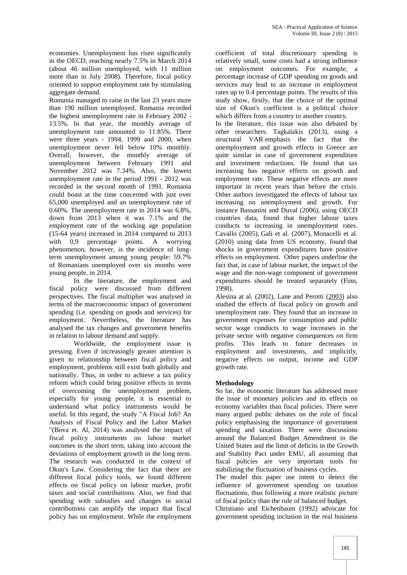economies. Unemployment has risen significantly in the OECD, reaching nearly 7.5% in March 2014 (about 46 million unemployed, with 11 million more than in July 2008). Therefore, fiscal policy oriented to support employment rate by stimulating aggregate demand.

Romania managed to raise in the last 23 years more than 190 million unemployed. Romania recorded the highest unemployment rate in February 2002 - 13.5%. In that year, the monthly average of unemployment rate amounted to 11.85%. There were three years - 1994, 1999 and 2000, when unemployment never fell below 10% monthly. Overall, however, the monthly average of unemployment between February 1991 and November 2012 was 7.34%. Also, the lowest unemployment rate in the period 1991 - 2012 was recorded in the second month of 1991. Romania could boast at the time concerned with just over 65,000 unemployed and an unemployment rate of 0.60%. The unemployment rate in 2014 was 6.8%, down from 2013 when it was 7.1% and the employment rate of the working age population (15-64 years) increased in 2014 compared to 2013 with 0,9 percentage points. A worrying phenomenon, however, is the incidence of longterm unemployment among young people: 59.7% of Romanians unemployed over six months were young people, in 2014.

In the literature, the employment and fiscal policy were discussed from different perspectives. The fiscal multiplier was analysed in terms of the macroeconomic impact of government spending (i.e. spending on goods and services) for employment. Nevertheless, the literature has analysed the tax changes and government benefits in relation to labour demand and supply.

Worldwide, the employment issue is pressing. Even if increasingly greater attention is given to relationship between fiscal policy and employment, problems still exist both globally and nationally. Thus, in order to achieve a tax policy reform which could bring positive effects in terms of overcoming the unemployment problem, especially for young people, it is essential to understand what policy instruments would be useful. In this regard, the study "A Fiscal Job? An Analysis of Fiscal Policy and the Labor Market "(Bova et. Al, 2014) was analysed the impact of fiscal policy instruments on labour market outcomes in the short term, taking into account the deviations of employment growth in the long term. The research was conducted in the context of Okun's Law. Considering the fact that there are different fiscal policy tools, we found different effects on fiscal policy on labour market, profit taxes and social contributions. Also, we find that spending with subsidies and changes in social contributions can amplify the impact that fiscal policy has on employment. While the employment

coefficient of total discretionary spending is relatively small, some costs had a strong influence on employment outcomes. For example, a percentage increase of GDP spending on goods and services may lead to an increase in employment rates up to 0.4 percentage points. The results of this study show, firstly, that the choice of the optimal size of Okun's coefficient is a political choice which differs from a country to another country.

In the literature, this issue was also debated by other researchers. Tagkalakis (2013), using a structural VAR emphasis the fact that the unemployment and growth effects in Greece are quite similar in case of government expenditure and investment reductions. He found that tax increasing has negative effects on growth and employment rate. These negative effects are more important in recent years than before the crisis. Other authors investigated the effects of labour tax increasing on unemployment and growth. For instance Bassanini and Duval (2006), using OECD countries data, found that higher labour taxes conducts to increasing in unemployment rates. Cavallo (2005), Gali et al. (2007), Monacelli et al. (2010) using data from US economy, found that shocks in government expenditures have positive effects on employment. Other papers underline the fact that, in case of labour market, the impact of the wage and the non-wage component of government expenditures should be treated separately (Finn, 1998).

Alesina at al. (2002), Lane and Perotti (2003) also studied the effects of fiscal policy on growth and unemployment rate. They found that an increase in government expenses for consumption and public sector wage conducts to wage increases in the private sector with negative consequences on firm profits. This leads to future decreases in employment and investments, and implicitly, negative effects on output, income and GDP growth rate.

## **Methodology**

So far, the economic literature has addressed more the issue of monetary policies and its effects on economy variables than fiscal policies. There were many argued public debates on the role of fiscal policy emphasising the importance of government spending and taxation. There were discussions around the Balanced Budget Amendment in the United States and the limit of deficits in the Growth and Stability Pact under EMU, all assuming that fiscal policies are very important tools for stabilizing the fluctuation of business cycles.

The model this paper use intent to detect the influence of government spending on taxation fluctuations, thus following a more realistic picture of fiscal policy than the rule of balanced budget.

Christiano and Eichenbaum (1992) advocate for government spending inclusion in the real business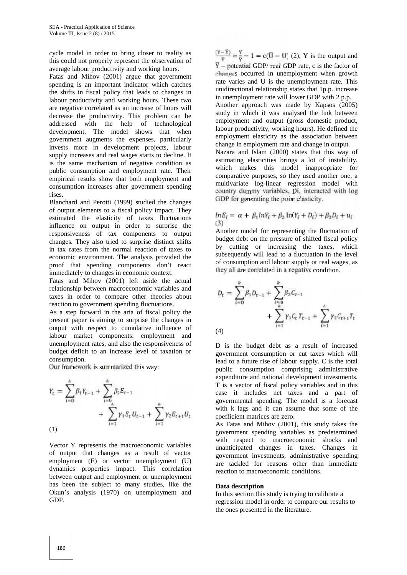cycle model in order to bring closer to reality as this could not properly represent the observation of average labour productivity and working hours.

Fatas and Mihov (2001) argue that government spending is an important indicator which catches the shifts in fiscal policy that leads to changes in labour productivity and working hours. These two are negative correlated as an increase of hours will decrease the productivity. This problem can be addressed with the help of technological development. The model shows that when government augments the expenses, particularly invests more in development projects, labour supply increases and real wages starts to decline. It is the same mechanism of negative condition as public consumption and employment rate. Their empirical results show that both employment and consumption increases after government spending rises.

Blanchard and Perotti (1999) studied the changes of output elements to a fiscal policy impact. They estimated the elasticity of taxes fluctuations influence on output in order to surprise the responsiveness of tax components to output changes. They also tried to surprise distinct shifts in tax rates from the normal reaction of taxes to economic environment. The analysis provided the proof that spending components don't react immediately to changes in economic context.

Fatas and Mihov (2001) left aside the actual relationship between macroeconomic variables and taxes in order to compare other theories about reaction to government spending fluctuations.

As a step forward in the aria of fiscal policy the present paper is aiming to surprise the changes in output with respect to cumulative influence of labour market components: employment and unemployment rates, and also the responsiveness of budget deficit to an increase level of taxation or consumption.

Our framework is summarized this way:

$$
Y_{t} = \sum_{t=0}^{k} \beta_{t} Y_{t-1} + \sum_{t=0}^{k} \beta_{t} E_{t-1} + \sum_{t=1}^{k} \gamma_{t} E_{t} U_{t-1} + \sum_{t=1}^{k} \gamma_{t} E_{t+1} U_{t}
$$
\n(1)

Vector Y represents the macroeconomic variables of output that changes as a result of vector employment (E) or vector unemployment (U) dynamics properties impact. This correlation between output and employment or unemployment has been the subject to many studies, like the Okun's analysis (1970) on unemployment and GDP.

 $\frac{(Y-\overline{Y})}{\overline{Y}} = \frac{Y}{\overline{Y}} - 1 = c(\overline{U} - U)$  (2), Y is the output and  $\overline{Y}$  – potential GDP/ real GDP rate, c is the factor of changes occurred in unemployment when growth rate varies and U is the unemployment rate. This unidirectional relationship states that 1p.p. increase in unemployment rate will lower GDP with 2 p.p.

Another approach was made by Kapsos (2005) study in which it was analysed the link between employment and output (gross domestic product, labour productivity, working hours). He defined the employment elasticity as the association between change in employment rate and change in output.

Nazara and Islam (2000) states that this way of estimating elasticities brings a lot of instability, which makes this model inappropriate for comparative purposes, so they used another one, a multivariate log-linear regression model with country dummy variables, Di, interacted with log GDP for generating the point elasticity.

$$
lnE_i = \alpha + \beta_1 lnY_i + \beta_2 ln(Y_i + D_i) + \beta_3 D_i + u_i
$$
  
(3)

Another model for representing the fluctuation of budget debt on the pressure of shifted fiscal policy by cutting or increasing the taxes, which subsequently will lead to a fluctuation in the level of consumption and labour supply or real wages, as they all are correlated in a negative condition.

$$
D_{t} = \sum_{t=0}^{k} \beta_{t} D_{t-1} + \sum_{\substack{t=0\\k \neq t}}^{k} \beta_{2} C_{t-1} + \sum_{t=1}^{k} \gamma_{1} C_{t} T_{t-1} + \sum_{t=1}^{k} \gamma_{2} C_{t+1} T_{t}
$$
\n
$$
(4)
$$

D is the budget debt as a result of increased government consumption or cut taxes which will lead to a future rise of labour supply. C is the total public consumption comprising administrative expenditure and national development investments. T is a vector of fiscal policy variables and in this case it includes net taxes and a part of governmental spending. The model is a forecast with k lags and it can assume that some of the coefficient matrices are zero.

As Fatas and Mihov (2001), this study takes the government spending variables as predetermined with respect to macroeconomic shocks and unanticipated changes in taxes. Changes in government investments, administrative spending are tackled for reasons other than immediate reaction to macroeconomic conditions.

#### **Data description**

In this section this study is trying to calibrate a regression model in order to compare our results to the ones presented in the literature.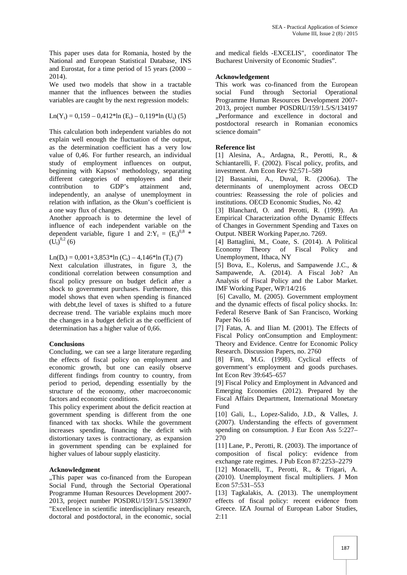This paper uses data for Romania, hosted by the National and European Statistical Database, INS and Eurostat, for a time period of 15 years (2000 – 2014).

We used two models that show in a tractable manner that the influences between the studies variables are caught by the next regression models:

$$
Ln(Y_t) = 0,159 - 0,412*ln(E_t) - 0,119*ln(U_t) (5)
$$

This calculation both independent variables do not explain well enough the fluctuation of the output, as the determination coefficient has a very low value of 0,46. For further research, an individual study of employment influences on output, beginning with Kapsos' methodology, separating different categories of employees and their contribution to GDP's attainment and, independently, an analyse of unemployment in relation with inflation, as the Okun's coefficient is a one way flux of changes.

Another approach is to determine the level of influence of each independent variable on the dependent variable, figure 1 and  $2:Y_t = (E_t)^{0.8}$  \*  $(\tilde{U_{t}})^{0,2}$  (6)

 $Ln(D_t) = 0,001+3,853*ln(C_t) - 4,146*ln(T_t)$  (7)

Next calculation illustrates, in figure 3, the conditional correlation between consumption and fiscal policy pressure on budget deficit after a shock to government purchases. Furthermore, this model shows that even when spending is financed with debt,the level of taxes is shifted to a future decrease trend. The variable explains much more the changes in a budget deficit as the coefficient of determination has a higher value of 0,66.

## **Conclusions**

Concluding, we can see a large literature regarding the effects of fiscal policy on employment and economic growth, but one can easily observe different findings from country to country, from period to period, depending essentially by the structure of the economy, other macroeconomic factors and economic conditions.

This policy experiment about the deficit reaction at government spending is different from the one financed with tax shocks. While the government increases spending, financing the deficit with distortionary taxes is contractionary, as expansion in government spending can be explained for higher values of labour supply elasticity.

## **Acknowledgment**

"This paper was co-financed from the European Social Fund, through the Sectorial Operational Programme Human Resources Development 2007- 2013, project number POSDRU/159/1.5/S/138907 "Excellence in scientific interdisciplinary research, doctoral and postdoctoral, in the economic, social

and medical fields -EXCELIS", coordinator The Bucharest University of Economic Studies".

#### **Acknowledgement**

This work was co-financed from the European social Fund through Sectorial Operational Programme Human Resources Development 2007- 2013, project number POSDRU/159/1.5/S/134197 "Performance and excellence in doctoral and postdoctoral research in Romanian economics science domain"

## **Reference list**

[1] Alesina, A., Ardagna, R., Perotti, R., & Schiantarelli, F. (2002). Fiscal policy, profits, and investment. Am Econ Rev 92:571–589

[2] Bassanini, A., Duval, R. (2006a). The determinants of unemployment across OECD countries: Reassessing the role of policies and institutions. OECD Economic Studies, No. 42

[3] Blanchard, O. and Perotti, R. (1999). An Empirical Characterization ofthe Dynamic Effects of Changes in Government Spending and Taxes on Output. NBER Working Paper,no. 7269.

[4] Battaglini, M., Coate, S. (2014). A Political Economy Theory of Fiscal Policy and Unemployment, Ithaca, NY

[5] Bova, E., Kolerus, and Sampawende J.C., & Sampawende, A. (2014). A Fiscal Job? An Analysis of Fiscal Policy and the Labor Market. IMF Working Paper, WP/14/216

[6] Cavallo, M. (2005). Government employment and the dynamic effects of fiscal policy shocks. In: Federal Reserve Bank of San Francisco, Working Paper No.16

[7] Fatas, A. and Ilian M. (2001). The Effects of Fiscal Policy onConsumption and Employment: Theory and Evidence. Centre for Economic Policy Research. Discussion Papers, no. 2760

[8] Finn, M.G. (1998). Cyclical effects of government's employment and goods purchases. Int Econ Rev 39:645–657

[9] Fiscal Policy and Employment in Advanced and Emerging Economies (2012). Prepared by the Fiscal Affairs Department, International Monetary Fund

[10] Gali, L., Lopez-Salido, J.D., & Valles, J. (2007). Understanding the effects of government spending on consumption. J Eur Econ Ass 5:227– 270

[11] Lane, P., Perotti, R. (2003). The importance of composition of fiscal policy: evidence from exchange rate regimes. J Pub Econ 87:2253–2279

[12] Monacelli, T., Perotti, R., & Trigari, A. (2010). Unemployment fiscal multipliers. J Mon Econ 57:531–553

[13] Tagkalakis, A. (2013). The unemployment effects of fiscal policy: recent evidence from Greece. IZA Journal of European Labor Studies, 2:11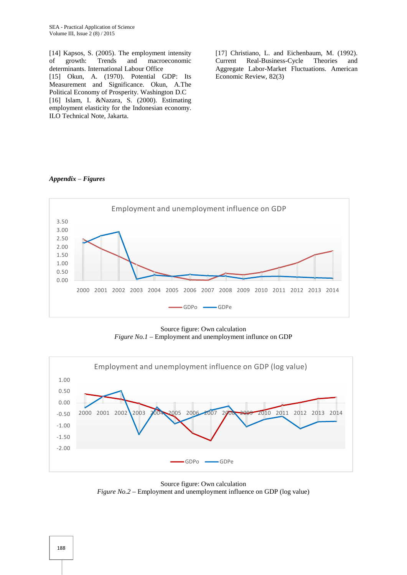[14] Kapsos, S. (2005). The employment intensity<br>of growth: Trends and macroeconomic of growth: Trends and macroeconomic determinants. International Labour Office [15] Okun, A. (1970). Potential GDP: Its Measurement and Significance. Okun, A.The Political Economy of Prosperity. Washington D.C [16] Islam, I. &Nazara, S. (2000). Estimating employment elasticity for the Indonesian economy. ILO Technical Note, Jakarta.

[17] Christiano, L. and Eichenbaum, M. (1992). Current Real-Business-Cycle Theories and Aggregate Labor-Market Fluctuations. American Economic Review, 82(3)

#### *Appendix – Figures*



Source figure: Own calculation *Figure No.1 –* Employment and unemployment influnce on GDP



Source figure: Own calculation *Figure No.2* – Employment and unemployment influence on GDP (log value)